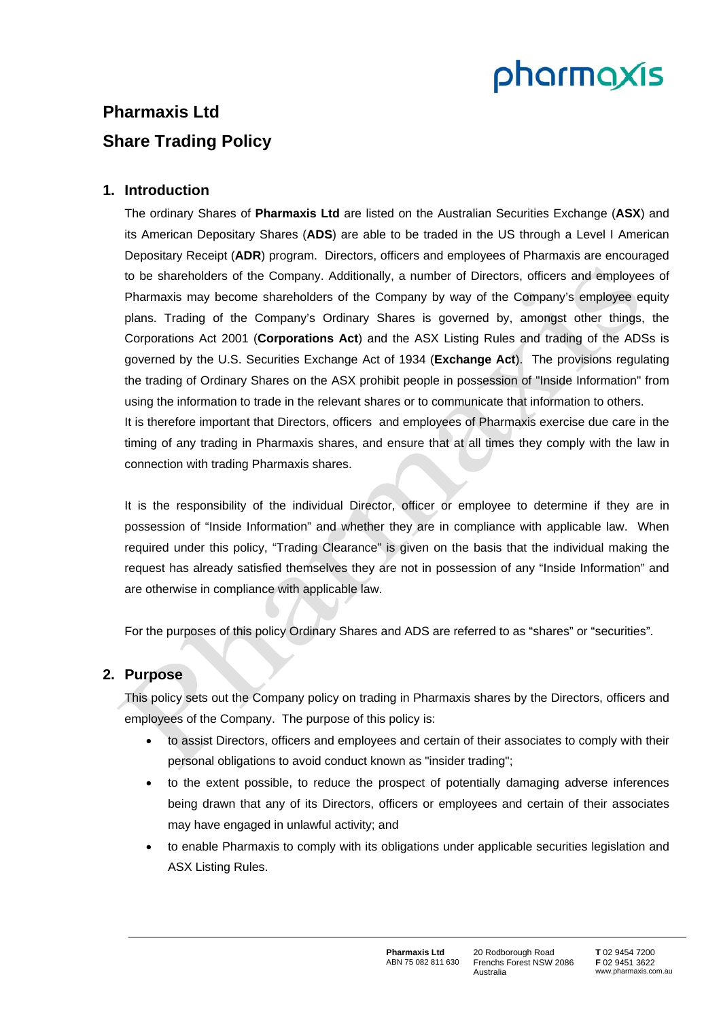# pharmaxis

# **Pharmaxis Ltd Share Trading Policy**

# **1. Introduction**

The ordinary Shares of **Pharmaxis Ltd** are listed on the Australian Securities Exchange (**ASX**) and its American Depositary Shares (**ADS**) are able to be traded in the US through a Level I American Depositary Receipt (**ADR**) program. Directors, officers and employees of Pharmaxis are encouraged to be shareholders of the Company. Additionally, a number of Directors, officers and employees of Pharmaxis may become shareholders of the Company by way of the Company's employee equity plans. Trading of the Company's Ordinary Shares is governed by, amongst other things, the Corporations Act 2001 (**Corporations Act**) and the ASX Listing Rules and trading of the ADSs is governed by the U.S. Securities Exchange Act of 1934 (**Exchange Act**). The provisions regulating the trading of Ordinary Shares on the ASX prohibit people in possession of "Inside Information" from using the information to trade in the relevant shares or to communicate that information to others. It is therefore important that Directors, officers and employees of Pharmaxis exercise due care in the

timing of any trading in Pharmaxis shares, and ensure that at all times they comply with the law in connection with trading Pharmaxis shares.

It is the responsibility of the individual Director, officer or employee to determine if they are in possession of "Inside Information" and whether they are in compliance with applicable law. When required under this policy, "Trading Clearance" is given on the basis that the individual making the request has already satisfied themselves they are not in possession of any "Inside Information" and are otherwise in compliance with applicable law.

For the purposes of this policy Ordinary Shares and ADS are referred to as "shares" or "securities".

# **2. Purpose**

This policy sets out the Company policy on trading in Pharmaxis shares by the Directors, officers and employees of the Company. The purpose of this policy is:

- to assist Directors, officers and employees and certain of their associates to comply with their personal obligations to avoid conduct known as "insider trading";
- to the extent possible, to reduce the prospect of potentially damaging adverse inferences being drawn that any of its Directors, officers or employees and certain of their associates may have engaged in unlawful activity; and
- to enable Pharmaxis to comply with its obligations under applicable securities legislation and ASX Listing Rules.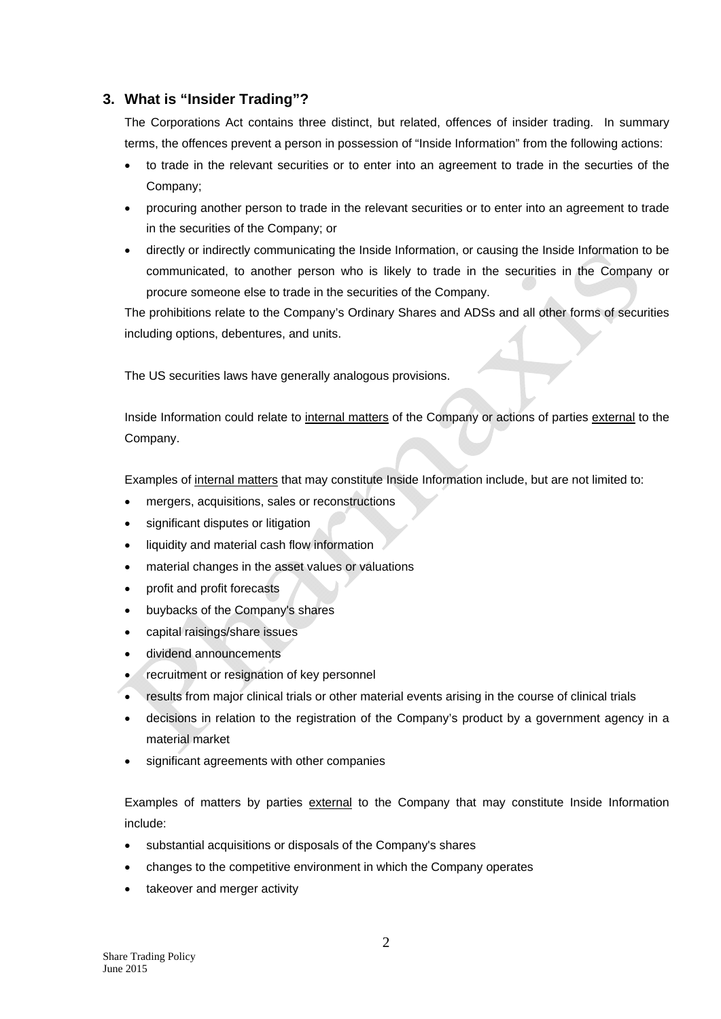# **3. What is "Insider Trading"?**

The Corporations Act contains three distinct, but related, offences of insider trading. In summary terms, the offences prevent a person in possession of "Inside Information" from the following actions:

- to trade in the relevant securities or to enter into an agreement to trade in the securties of the Company;
- procuring another person to trade in the relevant securities or to enter into an agreement to trade in the securities of the Company; or
- directly or indirectly communicating the Inside Information, or causing the Inside Information to be communicated, to another person who is likely to trade in the securities in the Company or procure someone else to trade in the securities of the Company.

The prohibitions relate to the Company's Ordinary Shares and ADSs and all other forms of securities including options, debentures, and units.

The US securities laws have generally analogous provisions.

Inside Information could relate to internal matters of the Company or actions of parties external to the Company.

Examples of internal matters that may constitute Inside Information include, but are not limited to:

- mergers, acquisitions, sales or reconstructions
- significant disputes or litigation
- liquidity and material cash flow information
- material changes in the asset values or valuations
- profit and profit forecasts
- buybacks of the Company's shares
- capital raisings/share issues
- dividend announcements
- recruitment or resignation of key personnel
- results from major clinical trials or other material events arising in the course of clinical trials
- decisions in relation to the registration of the Company's product by a government agency in a material market
- significant agreements with other companies

Examples of matters by parties external to the Company that may constitute Inside Information include:

- substantial acquisitions or disposals of the Company's shares
- changes to the competitive environment in which the Company operates
- takeover and merger activity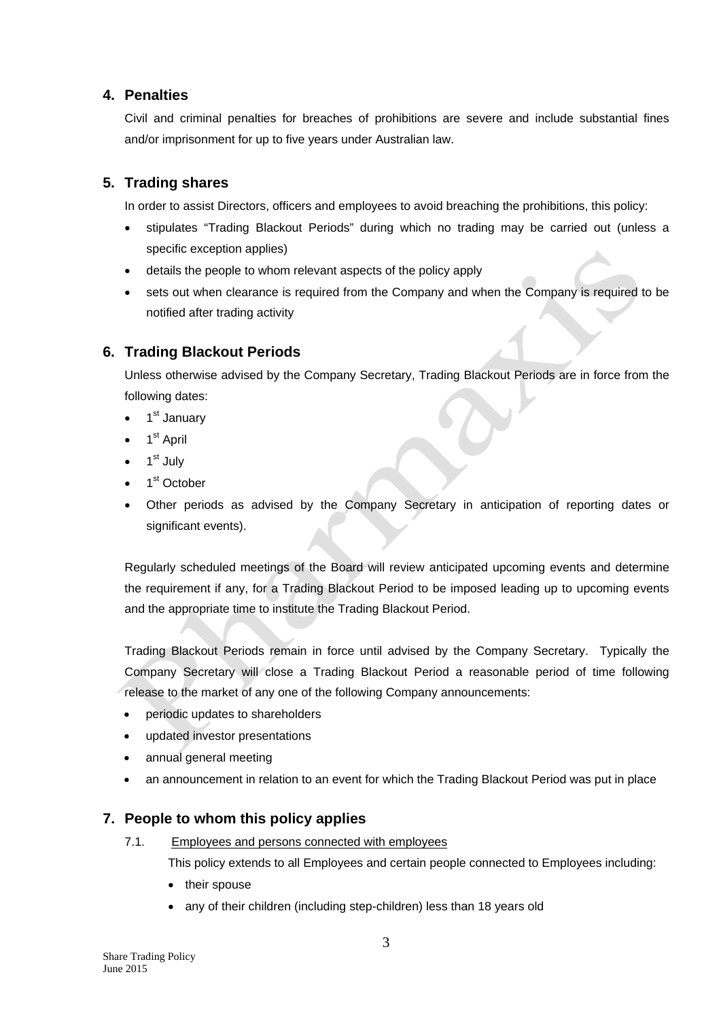## **4. Penalties**

Civil and criminal penalties for breaches of prohibitions are severe and include substantial fines and/or imprisonment for up to five years under Australian law.

# **5. Trading shares**

In order to assist Directors, officers and employees to avoid breaching the prohibitions, this policy:

- stipulates "Trading Blackout Periods" during which no trading may be carried out (unless a specific exception applies)
- details the people to whom relevant aspects of the policy apply
- sets out when clearance is required from the Company and when the Company is required to be notified after trading activity

# **6. Trading Blackout Periods**

Unless otherwise advised by the Company Secretary, Trading Blackout Periods are in force from the following dates:

- 1<sup>st</sup> January
- 1<sup>st</sup> April
- 1<sup>st</sup> July
- 1<sup>st</sup> October
- Other periods as advised by the Company Secretary in anticipation of reporting dates or significant events).

Regularly scheduled meetings of the Board will review anticipated upcoming events and determine the requirement if any, for a Trading Blackout Period to be imposed leading up to upcoming events and the appropriate time to institute the Trading Blackout Period.

Trading Blackout Periods remain in force until advised by the Company Secretary. Typically the Company Secretary will close a Trading Blackout Period a reasonable period of time following release to the market of any one of the following Company announcements:

- periodic updates to shareholders
- updated investor presentations
- annual general meeting
- an announcement in relation to an event for which the Trading Blackout Period was put in place

# **7. People to whom this policy applies**

7.1. Employees and persons connected with employees

This policy extends to all Employees and certain people connected to Employees including:

- their spouse
- any of their children (including step-children) less than 18 years old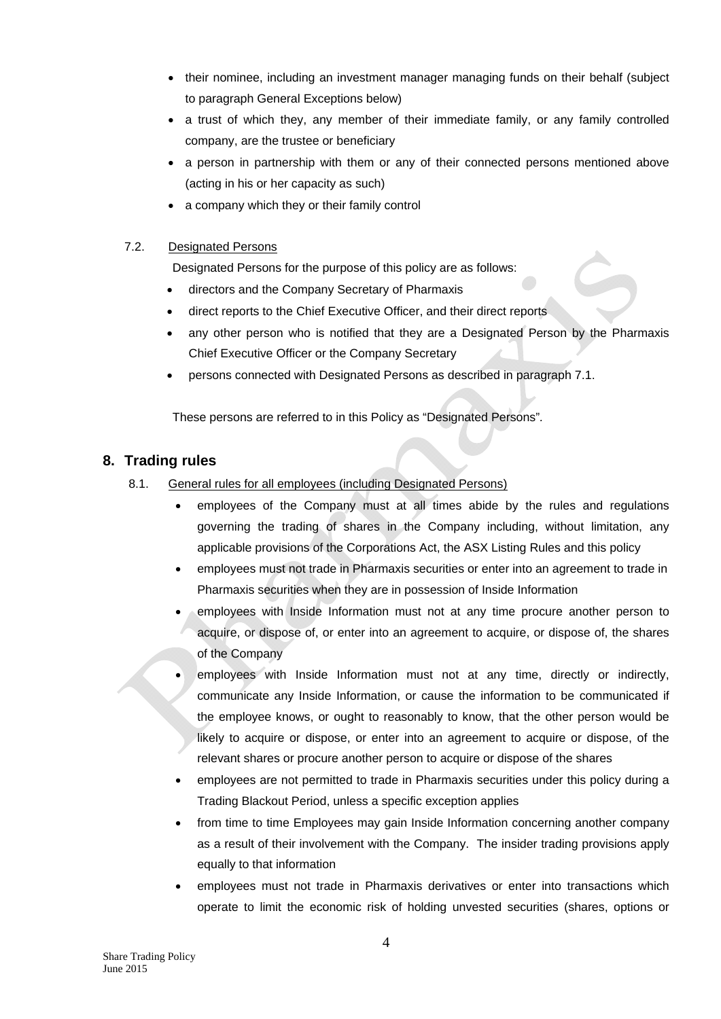- their nominee, including an investment manager managing funds on their behalf (subject to paragraph General Exceptions below)
- a trust of which they, any member of their immediate family, or any family controlled company, are the trustee or beneficiary
- a person in partnership with them or any of their connected persons mentioned above (acting in his or her capacity as such)
- a company which they or their family control

#### 7.2. Designated Persons

Designated Persons for the purpose of this policy are as follows:

- directors and the Company Secretary of Pharmaxis
- direct reports to the Chief Executive Officer, and their direct reports
- any other person who is notified that they are a Designated Person by the Pharmaxis Chief Executive Officer or the Company Secretary
- persons connected with Designated Persons as described in paragraph 7.1.

These persons are referred to in this Policy as "Designated Persons"*.* 

# **8. Trading rules**

- 8.1. General rules for all employees (including Designated Persons)
	- employees of the Company must at all times abide by the rules and regulations governing the trading of shares in the Company including, without limitation, any applicable provisions of the Corporations Act, the ASX Listing Rules and this policy
	- employees must not trade in Pharmaxis securities or enter into an agreement to trade in Pharmaxis securities when they are in possession of Inside Information
	- employees with Inside Information must not at any time procure another person to acquire, or dispose of, or enter into an agreement to acquire, or dispose of, the shares of the Company
	- employees with Inside Information must not at any time, directly or indirectly, communicate any Inside Information, or cause the information to be communicated if the employee knows, or ought to reasonably to know, that the other person would be likely to acquire or dispose, or enter into an agreement to acquire or dispose, of the relevant shares or procure another person to acquire or dispose of the shares
	- employees are not permitted to trade in Pharmaxis securities under this policy during a Trading Blackout Period, unless a specific exception applies
	- from time to time Employees may gain Inside Information concerning another company as a result of their involvement with the Company. The insider trading provisions apply equally to that information
	- employees must not trade in Pharmaxis derivatives or enter into transactions which operate to limit the economic risk of holding unvested securities (shares, options or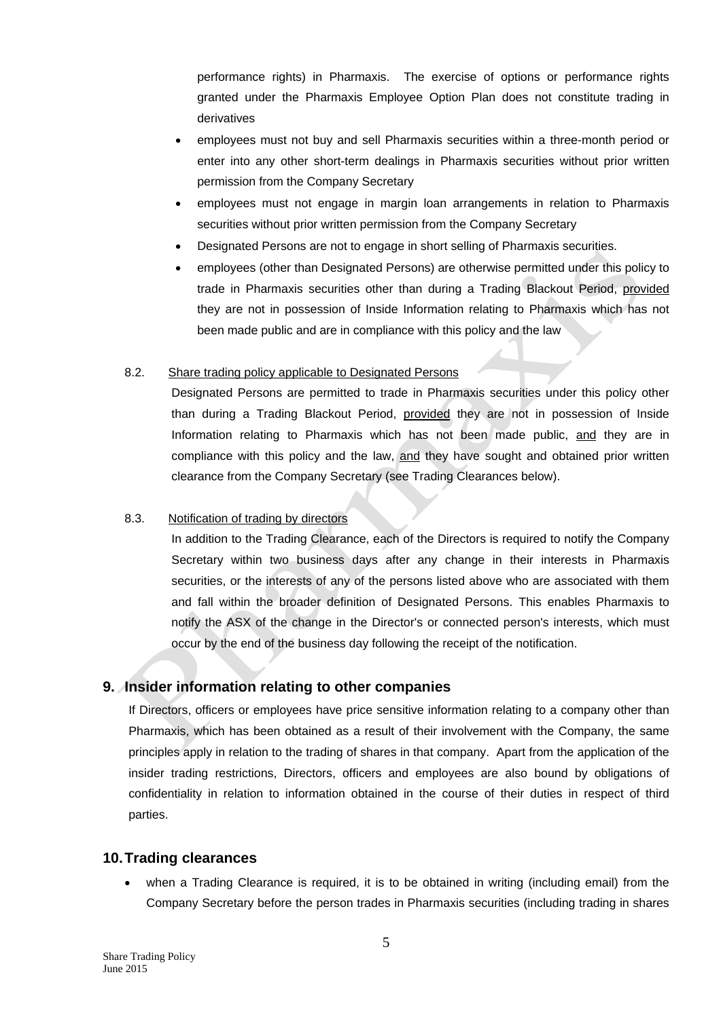performance rights) in Pharmaxis. The exercise of options or performance rights granted under the Pharmaxis Employee Option Plan does not constitute trading in derivatives

- employees must not buy and sell Pharmaxis securities within a three-month period or enter into any other short-term dealings in Pharmaxis securities without prior written permission from the Company Secretary
- employees must not engage in margin loan arrangements in relation to Pharmaxis securities without prior written permission from the Company Secretary
- Designated Persons are not to engage in short selling of Pharmaxis securities.
- employees (other than Designated Persons) are otherwise permitted under this policy to trade in Pharmaxis securities other than during a Trading Blackout Period, provided they are not in possession of Inside Information relating to Pharmaxis which has not been made public and are in compliance with this policy and the law

#### 8.2. Share trading policy applicable to Designated Persons

Designated Persons are permitted to trade in Pharmaxis securities under this policy other than during a Trading Blackout Period, provided they are not in possession of Inside Information relating to Pharmaxis which has not been made public, and they are in compliance with this policy and the law, and they have sought and obtained prior written clearance from the Company Secretary (see Trading Clearances below).

#### 8.3. Notification of trading by directors

In addition to the Trading Clearance, each of the Directors is required to notify the Company Secretary within two business days after any change in their interests in Pharmaxis securities, or the interests of any of the persons listed above who are associated with them and fall within the broader definition of Designated Persons. This enables Pharmaxis to notify the ASX of the change in the Director's or connected person's interests, which must occur by the end of the business day following the receipt of the notification.

#### **9. Insider information relating to other companies**

If Directors, officers or employees have price sensitive information relating to a company other than Pharmaxis, which has been obtained as a result of their involvement with the Company, the same principles apply in relation to the trading of shares in that company. Apart from the application of the insider trading restrictions, Directors, officers and employees are also bound by obligations of confidentiality in relation to information obtained in the course of their duties in respect of third parties.

#### **10. Trading clearances**

 when a Trading Clearance is required, it is to be obtained in writing (including email) from the Company Secretary before the person trades in Pharmaxis securities (including trading in shares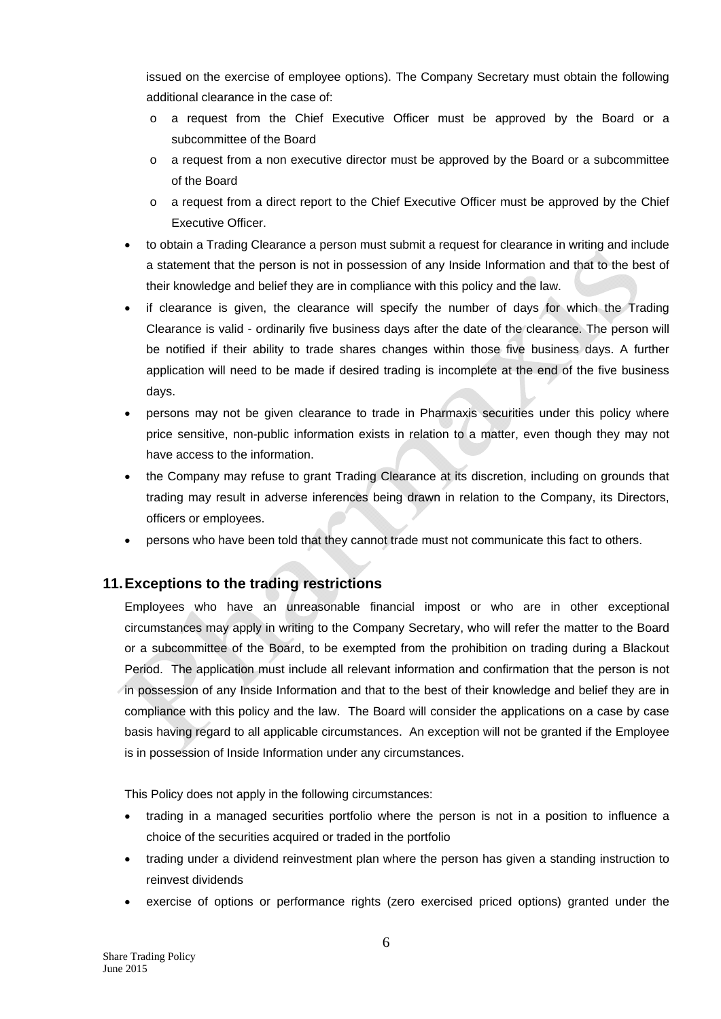issued on the exercise of employee options). The Company Secretary must obtain the following additional clearance in the case of:

- o a request from the Chief Executive Officer must be approved by the Board or a subcommittee of the Board
- o a request from a non executive director must be approved by the Board or a subcommittee of the Board
- o a request from a direct report to the Chief Executive Officer must be approved by the Chief Executive Officer.
- to obtain a Trading Clearance a person must submit a request for clearance in writing and include a statement that the person is not in possession of any Inside Information and that to the best of their knowledge and belief they are in compliance with this policy and the law.
- if clearance is given, the clearance will specify the number of days for which the Trading Clearance is valid - ordinarily five business days after the date of the clearance. The person will be notified if their ability to trade shares changes within those five business days. A further application will need to be made if desired trading is incomplete at the end of the five business days.
- persons may not be given clearance to trade in Pharmaxis securities under this policy where price sensitive, non-public information exists in relation to a matter, even though they may not have access to the information.
- the Company may refuse to grant Trading Clearance at its discretion, including on grounds that trading may result in adverse inferences being drawn in relation to the Company, its Directors, officers or employees.
- persons who have been told that they cannot trade must not communicate this fact to others.

# **11. Exceptions to the trading restrictions**

Employees who have an unreasonable financial impost or who are in other exceptional circumstances may apply in writing to the Company Secretary, who will refer the matter to the Board or a subcommittee of the Board, to be exempted from the prohibition on trading during a Blackout Period. The application must include all relevant information and confirmation that the person is not in possession of any Inside Information and that to the best of their knowledge and belief they are in compliance with this policy and the law. The Board will consider the applications on a case by case basis having regard to all applicable circumstances. An exception will not be granted if the Employee is in possession of Inside Information under any circumstances.

This Policy does not apply in the following circumstances:

- trading in a managed securities portfolio where the person is not in a position to influence a choice of the securities acquired or traded in the portfolio
- trading under a dividend reinvestment plan where the person has given a standing instruction to reinvest dividends
- exercise of options or performance rights (zero exercised priced options) granted under the